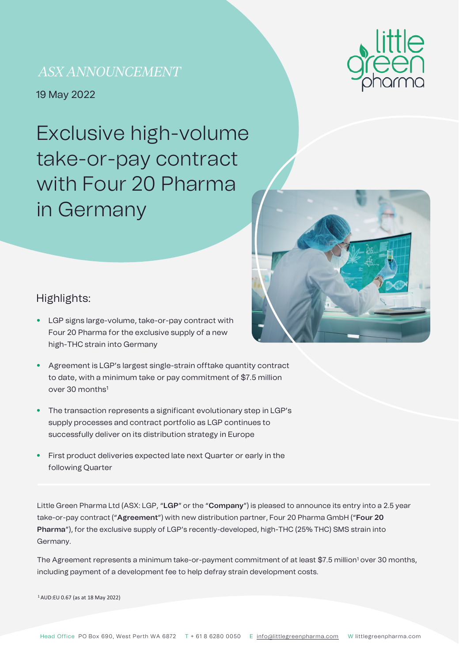# *ASX ANNOUNCEMENT*

•19 May 2022

Exclusive high-volume take-or-pay contract with Four 20 Pharma in Germany





### Highlights:

- LGP signs large-volume, take-or-pay contract with Four 20 Pharma for the exclusive supply of a new high-THC strain into Germany
- Agreement is LGP's largest single-strain offtake quantity contract to date, with a minimum take or pay commitment of \$7.5 million over 30 months1
- The transaction represents a significant evolutionary step in LGP's supply processes and contract portfolio as LGP continues to successfully deliver on its distribution strategy in Europe
- First product deliveries expected late next Quarter or early in the following Quarter

Little Green Pharma Ltd (ASX: LGP, "**LGP**" or the "**Company**") is pleased to announce its entry into a 2.5 year take-or-pay contract ("**Agreement**") with new distribution partner, Four 20 Pharma GmbH ("**Four 20 Pharma**"), for the exclusive supply of LGP's recently-developed, high-THC (25% THC) SMS strain into Germany.

The Agreement represents a minimum take-or-payment commitment of at least \$7.5 million<sup>1</sup> over 30 months, including payment of a development fee to help defray strain development costs.

1 AUD:EU 0.67 (as at 18 May 2022)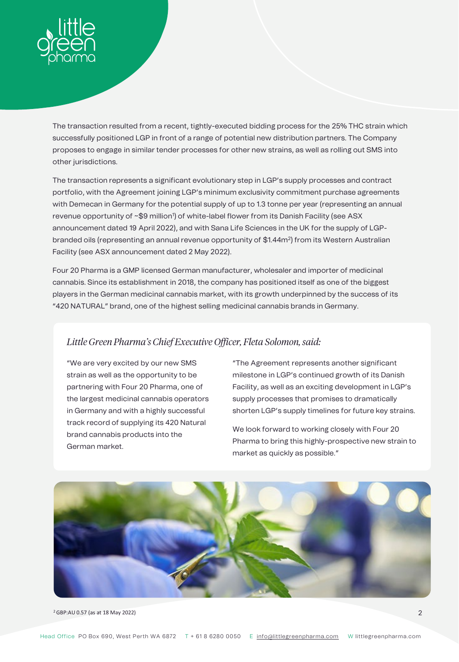

The transaction resulted from a recent, tightly-executed bidding process for the 25% THC strain which successfully positioned LGP in front of a range of potential new distribution partners. The Company proposes to engage in similar tender processes for other new strains, as well as rolling out SMS into other jurisdictions.

The transaction represents a significant evolutionary step in LGP's supply processes and contract portfolio, with the Agreement joining LGP's minimum exclusivity commitment purchase agreements with Demecan in Germany for the potential supply of up to 1.3 tonne per year (representing an annual revenue opportunity of ~\$9 million') of white-label flower from its Danish Facility (see ASX announcement dated 19 April 2022), and with Sana Life Sciences in the UK for the supply of LGPbranded oils (representing an annual revenue opportunity of \$1.44m<sup>2</sup>) from its Western Australian Facility (see ASX announcement dated 2 May 2022).

Four 20 Pharma is a GMP licensed German manufacturer, wholesaler and importer of medicinal cannabis. Since its establishment in 2018, the company has positioned itself as one of the biggest players in the German medicinal cannabis market, with its growth underpinned by the success of its "420 NATURAL" brand, one of the highest selling medicinal cannabis brands in Germany.

### *Little Green Pharma's Chief Executive Officer, Fleta Solomon, said:*

"We are very excited by our new SMS strain as well as the opportunity to be partnering with Four 20 Pharma, one of the largest medicinal cannabis operators in Germany and with a highly successful track record of supplying its 420 Natural brand cannabis products into the German market.

"The Agreement represents another significant milestone in LGP's continued growth of its Danish Facility, as well as an exciting development in LGP's supply processes that promises to dramatically shorten LGP's supply timelines for future key strains.

We look forward to working closely with Four 20 Pharma to bring this highly-prospective new strain to market as quickly as possible."



 $2$   $2$  GBP:AU 0.57 (as at 18 May 2022)  $2$